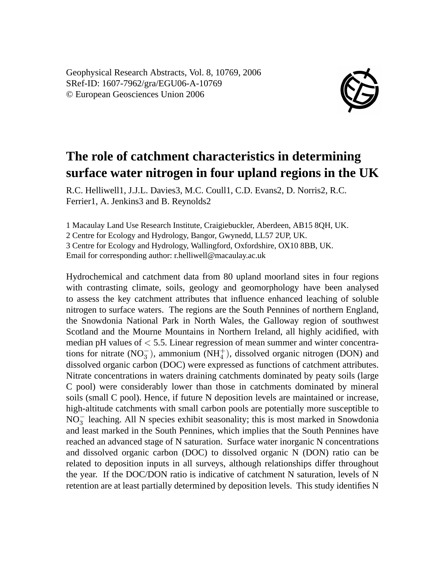Geophysical Research Abstracts, Vol. 8, 10769, 2006 SRef-ID: 1607-7962/gra/EGU06-A-10769 © European Geosciences Union 2006



## **The role of catchment characteristics in determining surface water nitrogen in four upland regions in the UK**

R.C. Helliwell1, J.J.L. Davies3, M.C. Coull1, C.D. Evans2, D. Norris2, R.C. Ferrier1, A. Jenkins3 and B. Reynolds2

1 Macaulay Land Use Research Institute, Craigiebuckler, Aberdeen, AB15 8QH, UK. 2 Centre for Ecology and Hydrology, Bangor, Gwynedd, LL57 2UP, UK. 3 Centre for Ecology and Hydrology, Wallingford, Oxfordshire, OX10 8BB, UK. Email for corresponding author: r.helliwell@macaulay.ac.uk

Hydrochemical and catchment data from 80 upland moorland sites in four regions with contrasting climate, soils, geology and geomorphology have been analysed to assess the key catchment attributes that influence enhanced leaching of soluble nitrogen to surface waters. The regions are the South Pennines of northern England, the Snowdonia National Park in North Wales, the Galloway region of southwest Scotland and the Mourne Mountains in Northern Ireland, all highly acidified, with median pH values of  $< 5.5$ . Linear regression of mean summer and winter concentrations for nitrate  $(NO_3^-)$ , ammonium  $(NH_4^+)$ , dissolved organic nitrogen (DON) and dissolved organic carbon (DOC) were expressed as functions of catchment attributes. Nitrate concentrations in waters draining catchments dominated by peaty soils (large C pool) were considerably lower than those in catchments dominated by mineral soils (small C pool). Hence, if future N deposition levels are maintained or increase, high-altitude catchments with small carbon pools are potentially more susceptible to NO<sub>3</sub> leaching. All N species exhibit seasonality; this is most marked in Snowdonia and least marked in the South Pennines, which implies that the South Pennines have reached an advanced stage of N saturation. Surface water inorganic N concentrations and dissolved organic carbon (DOC) to dissolved organic N (DON) ratio can be related to deposition inputs in all surveys, although relationships differ throughout the year. If the DOC/DON ratio is indicative of catchment N saturation, levels of N retention are at least partially determined by deposition levels. This study identifies N